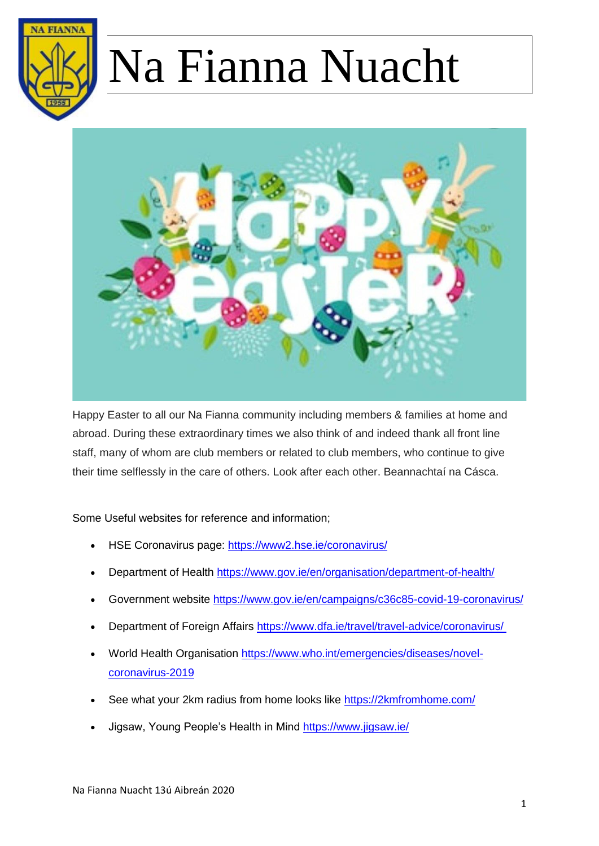



Happy Easter to all our Na Fianna community including members & families at home and abroad. During these extraordinary times we also think of and indeed thank all front line staff, many of whom are club members or related to club members, who continue to give their time selflessly in the care of others. Look after each other. Beannachtaí na Cásca.

#### Some Useful websites for reference and information;

- HSE Coronavirus page: <https://www2.hse.ie/coronavirus/>
- Department of Health [https://www.gov.ie/en/organisation/department-of-health/](https://theatreforum.cmail20.com/t/j-l-qldhjdt-thukpvn-k/)
- Government website<https://www.gov.ie/en/campaigns/c36c85-covid-19-coronavirus/>
- Department of Foreign Affairs [https://www.dfa.ie/travel/travel-advice/coronavirus/](https://theatreforum.cmail20.com/t/j-l-qldhjdt-thukpvn-u/)
- World Health Organisation [https://www.who.int/emergencies/diseases/novel](https://theatreforum.cmail20.com/t/j-l-qldhjdt-thukpvn-o/)[coronavirus-2019](https://theatreforum.cmail20.com/t/j-l-qldhjdt-thukpvn-o/)
- See what your 2km radius from home looks like<https://2kmfromhome.com/>
- Jigsaw, Young People's Health in Mind<https://www.jigsaw.ie/>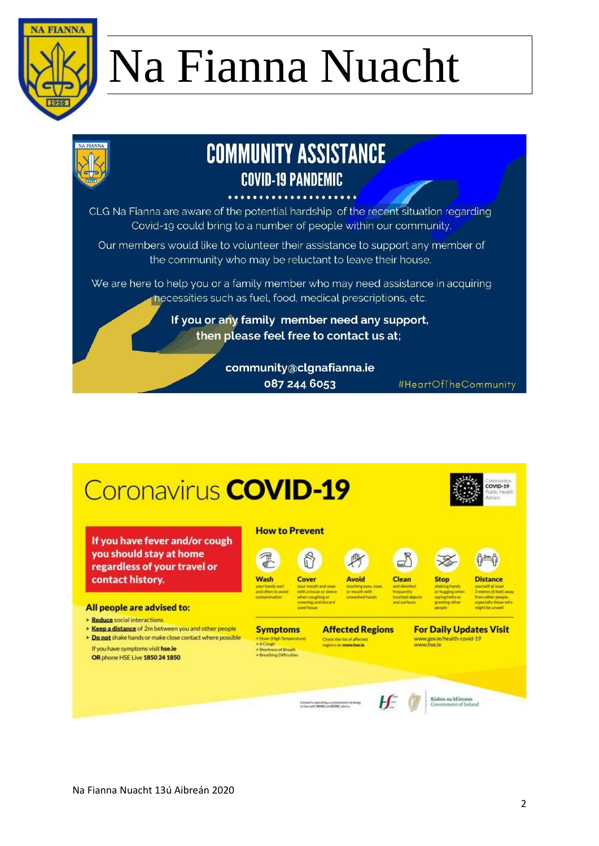



## **COMMUNITY ASSISTANCE COVID-19 PANDEMIC**

CLG Na Fianna are aware of the potential hardship of the recent situation regarding Covid-19 could bring to a number of people within our community.

Our members would like to volunteer their assistance to support any member of the community who may be reluctant to leave their house.

We are here to help you or a family member who may need assistance in acquiring necessities such as fuel, food, medical prescriptions, etc.

> If you or any family member need any support, then please feel free to contact us at;

> > community@clgnafianna.ie 087 244 6053

#HeartOfTheCommunity

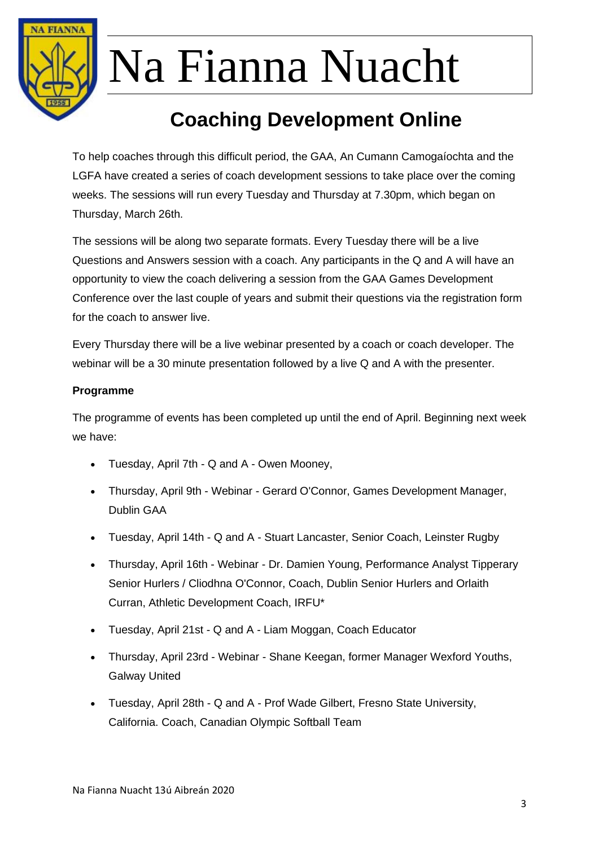

### **Coaching Development Online**

To help coaches through this difficult period, the GAA, An Cumann Camogaíochta and the LGFA have created a series of coach development sessions to take place over the coming weeks. The sessions will run every Tuesday and Thursday at 7.30pm, which began on Thursday, March 26th.

The sessions will be along two separate formats. Every Tuesday there will be a live Questions and Answers session with a coach. Any participants in the Q and A will have an opportunity to view the coach delivering a session from the GAA Games Development Conference over the last couple of years and submit their questions via the registration form for the coach to answer live.

Every Thursday there will be a live webinar presented by a coach or coach developer. The webinar will be a 30 minute presentation followed by a live Q and A with the presenter.

#### **Programme**

The programme of events has been completed up until the end of April. Beginning next week we have:

- Tuesday, April 7th Q and A Owen Mooney,
- Thursday, April 9th Webinar Gerard O'Connor, Games Development Manager, Dublin GAA
- Tuesday, April 14th Q and A Stuart Lancaster, Senior Coach, Leinster Rugby
- Thursday, April 16th Webinar Dr. Damien Young, Performance Analyst Tipperary Senior Hurlers / Cliodhna O'Connor, Coach, Dublin Senior Hurlers and Orlaith Curran, Athletic Development Coach, IRFU\*
- Tuesday, April 21st Q and A Liam Moggan, Coach Educator
- Thursday, April 23rd Webinar Shane Keegan, former Manager Wexford Youths, Galway United
- Tuesday, April 28th Q and A Prof Wade Gilbert, Fresno State University, California. Coach, Canadian Olympic Softball Team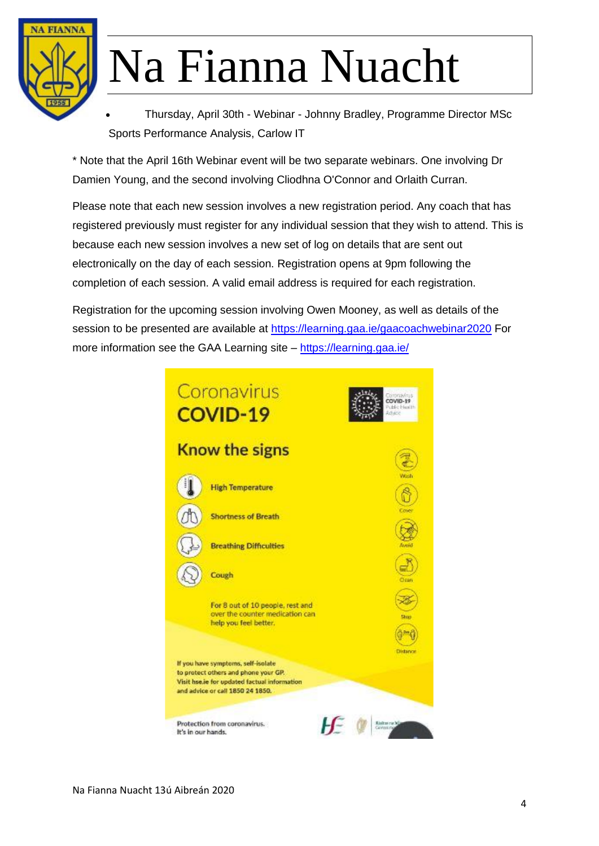

• Thursday, April 30th - Webinar - Johnny Bradley, Programme Director MSc Sports Performance Analysis, Carlow IT

\* Note that the April 16th Webinar event will be two separate webinars. One involving Dr Damien Young, and the second involving Cliodhna O'Connor and Orlaith Curran.

Please note that each new session involves a new registration period. Any coach that has registered previously must register for any individual session that they wish to attend. This is because each new session involves a new set of log on details that are sent out electronically on the day of each session. Registration opens at 9pm following the completion of each session. A valid email address is required for each registration.

Registration for the upcoming session involving Owen Mooney, as well as details of the session to be presented are available at <https://learning.gaa.ie/gaacoachwebinar2020> For more information see the GAA Learning site – <https://learning.gaa.ie/>

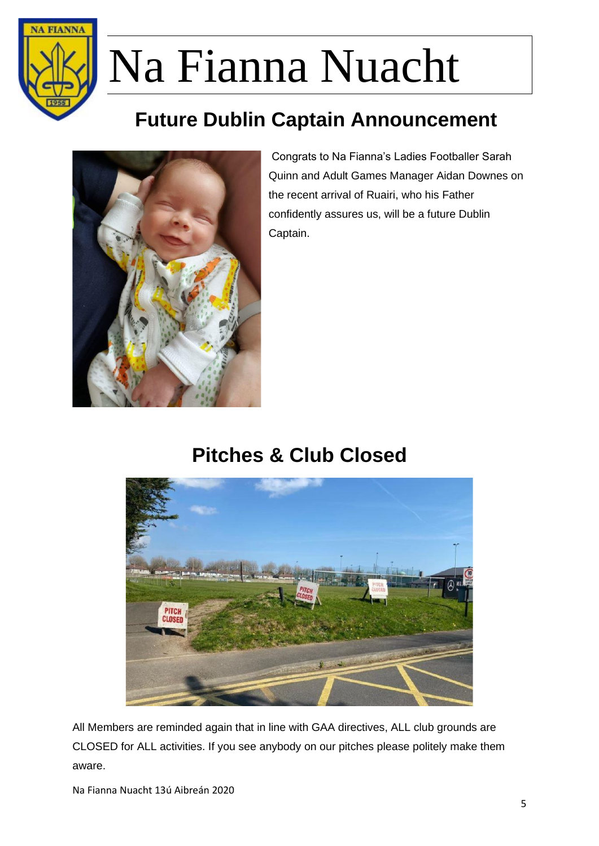

## **Future Dublin Captain Announcement**



Congrats to Na Fianna's Ladies Footballer Sarah Quinn and Adult Games Manager Aidan Downes on the recent arrival of Ruairi, who his Father confidently assures us, will be a future Dublin Captain.

### **Pitches & Club Closed**



All Members are reminded again that in line with GAA directives, ALL club grounds are CLOSED for ALL activities. If you see anybody on our pitches please politely make them aware.

Na Fianna Nuacht 13ú Aibreán 2020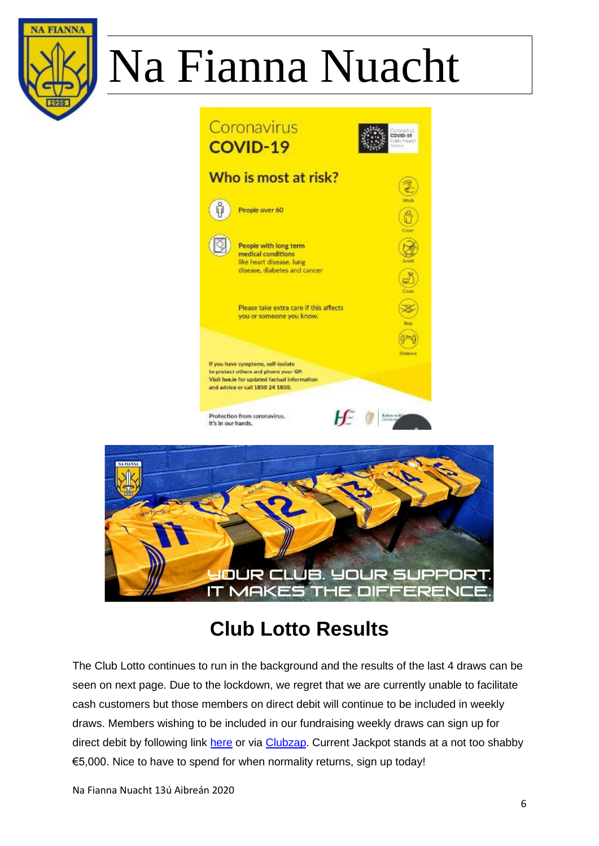





## **Club Lotto Results**

The Club Lotto continues to run in the background and the results of the last 4 draws can be seen on next page. Due to the lockdown, we regret that we are currently unable to facilitate cash customers but those members on direct debit will continue to be included in weekly draws. Members wishing to be included in our fundraising weekly draws can sign up for direct debit by following link [here](http://clgnafianna.com/club-information/club-lotto/) or via [Clubzap.](https://clubzap.com/download) Current Jackpot stands at a not too shabby €5,000. Nice to have to spend for when normality returns, sign up today!

Na Fianna Nuacht 13ú Aibreán 2020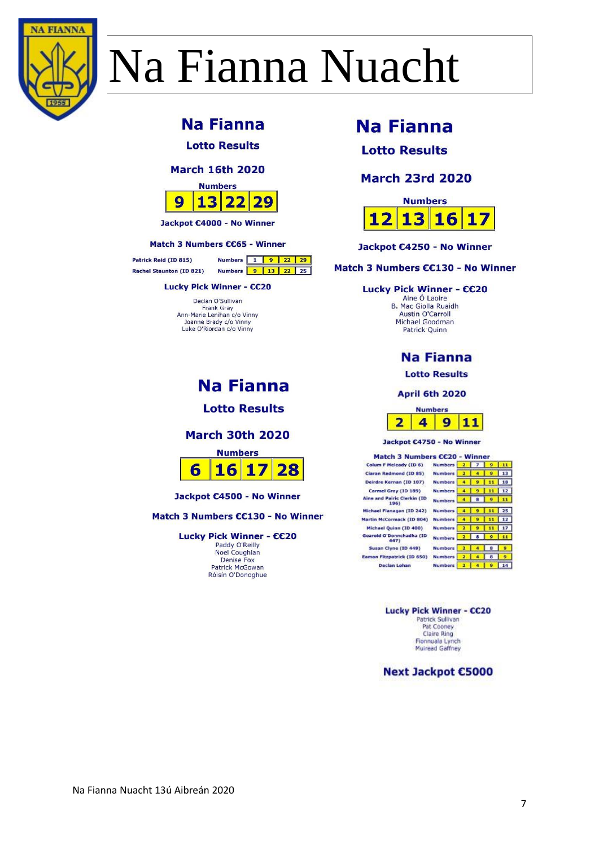

### **Na Fianna**

**Lotto Results** 

#### **March 16th 2020**



Jackpot €4000 - No Winner

#### Match 3 Numbers CC65 - Winner

Patrick Reid (ID 815) Rachel Staunton (ID 821)

#### **Lucky Pick Winner - CC20**

Declan O'Sullivan **Frank Gray** Ann-Marie Lenihan c/o Vinny<br>Joanne Brady c/o Vinny Luke O'Riordan c/o Vinny

### **Na Fianna**

Numbers 1 9 22 29

Numbers 9 13 22 25

**Lotto Results** 

#### **March 30th 2020**



Jackpot €4500 - No Winner

Match 3 Numbers CC130 - No Winner

Lucky Pick Winner - CC20 Paddy O'Reilly Noel Coughlan Denise Fox Patrick McGowan Róisín O'Donoghue

### **Na Fianna**

**Lotto Results** 

#### **March 23rd 2020**



Jackpot €4250 - No Winner

Match 3 Numbers CC130 - No Winner

#### Lucky Pick Winner - CC20

Aine O Laoire B. Mac Giolla Ruaidh Austin O'Carroll Michael Goodman Patrick Quinn

#### **Na Fianna**

**Lotto Results** 

April 6th 2020



Jackpot C4750 - No Winner

| Match 3 Numbers CC20 - Winner       |                |   |   |    |
|-------------------------------------|----------------|---|---|----|
| Colum F Meleady (ID 6)              | <b>Numbers</b> |   |   |    |
| Ciaran Redmond (ID 85)              | <b>Numbers</b> |   |   |    |
| Deirdre Kernan (ID 107)             | <b>Numbers</b> |   |   |    |
| Carmel Gray (ID 189)                | <b>Numbers</b> |   | 9 |    |
| Aine and Pairic Clerkin (ID<br>1961 | <b>Numbers</b> |   |   |    |
| Michael Flanagan (ID 242)           | <b>Numbers</b> |   |   |    |
| Martin McCormack (ID 804)           | <b>Numbers</b> |   |   |    |
| Michael Quinn (ID 400)              | <b>Numbers</b> |   |   |    |
| Gearoid O'Donnchadha (ID<br>447)    | <b>Numbers</b> |   |   |    |
| Susan Clyne (ID 449)                | <b>Numbers</b> |   |   |    |
| Eamon Fitzpatrick (ID 650)          | <b>Numbers</b> |   |   | ٠  |
| Declan Lohan                        | <b>Numbers</b> | 2 |   | 14 |

Lucky Pick Winner - CC20 Patrick Sullivan<br>Pat Cooney **Claire Ring** Fionnuala Lynch Muiread Gaffney

**Next Jackpot €5000**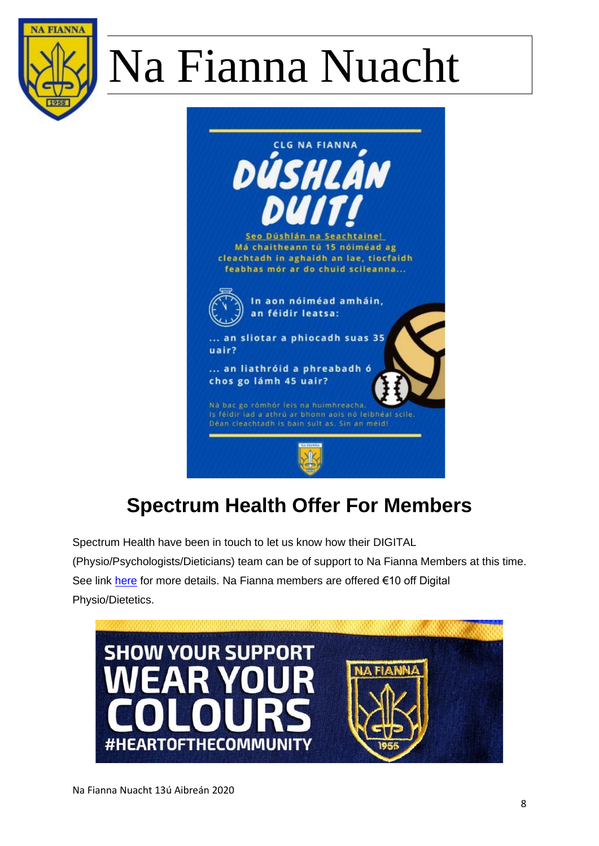



## **Spectrum Health Offer For Members**

Spectrum Health have been in touch to let us know how their DIGITAL

(Physio/Psychologists/Dieticians) team can be of support to Na Fianna Members at this time. See link [here](https://www.spectrumhealth.ie/blog/2020/3/2/information-on-coronavirus-covid-19) for more details. Na Fianna members are offered €10 off Digital Physio/Dietetics.

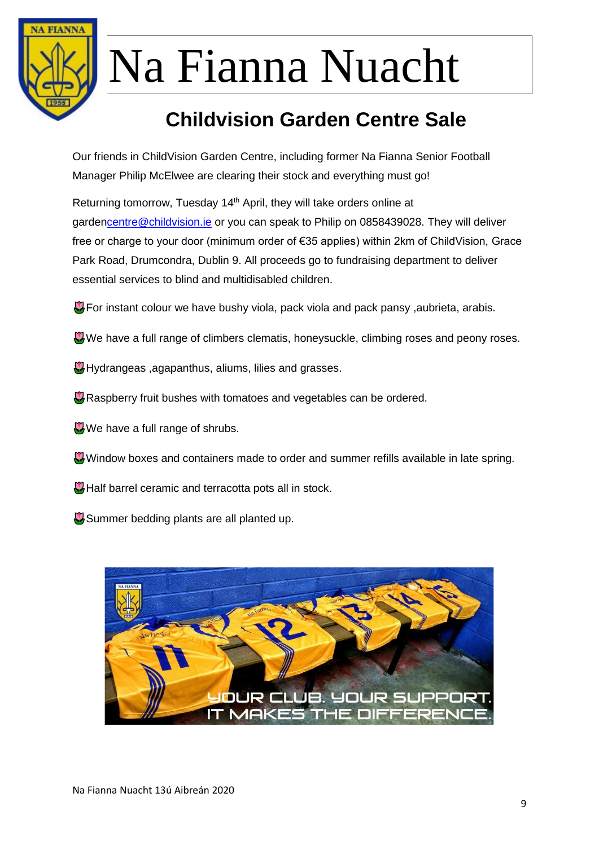

## **Childvision Garden Centre Sale**

Our friends in ChildVision Garden Centre, including former Na Fianna Senior Football Manager Philip McElwee are clearing their stock and everything must go!

Returning tomorrow, Tuesday 14<sup>th</sup> April, they will take orders online at garde[ncentre@childvision.ie](mailto:centre@childvision.ie) or you can speak to Philip on 0858439028. They will deliver free or charge to your door (minimum order of €35 applies) within 2km of ChildVision, Grace Park Road, Drumcondra, Dublin 9. All proceeds go to fundraising department to deliver essential services to blind and multidisabled children.

- **P** For instant colour we have bushy viola, pack viola and pack pansy, aubrieta, arabis.
- We have a full range of climbers clematis, honeysuckle, climbing roses and peony roses.
- **W** Hydrangeas , agapanthus, aliums, lilies and grasses.
- Raspberry fruit bushes with tomatoes and vegetables can be ordered.
- $\mathbf{W}$  We have a full range of shrubs.
- Window boxes and containers made to order and summer refills available in late spring.
- **W** Half barrel ceramic and terracotta pots all in stock.
- **W** Summer bedding plants are all planted up.